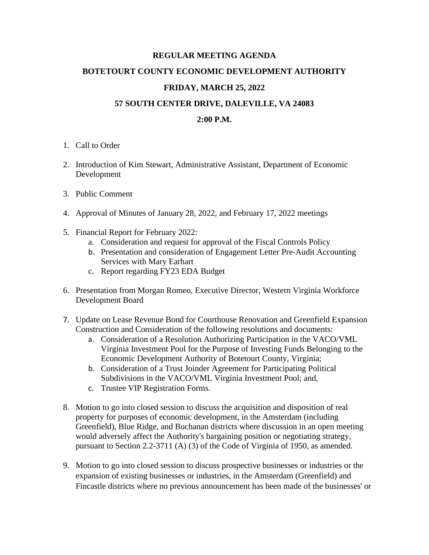## **REGULAR MEETING AGENDA**

## **BOTETOURT COUNTY ECONOMIC DEVELOPMENT AUTHORITY**

# **FRIDAY, MARCH 25, 2022**

## **57 SOUTH CENTER DRIVE, DALEVILLE, VA 24083**

# **2:00 P.M.**

- 1. Call to Order
- 2. Introduction of Kim Stewart, Administrative Assistant, Department of Economic Development
- 3. Public Comment
- 4. Approval of Minutes of January 28, 2022, and February 17, 2022 meetings
- 5. Financial Report for February 2022:
	- a. Consideration and request for approval of the Fiscal Controls Policy
	- b. Presentation and consideration of Engagement Letter Pre-Audit Accounting Services with Mary Earhart
	- c. Report regarding FY23 EDA Budget
- 6. Presentation from Morgan Romeo, Executive Director, Western Virginia Workforce Development Board
- 7. Update on Lease Revenue Bond for Courthouse Renovation and Greenfield Expansion Construction and Consideration of the following resolutions and documents:
	- a. Consideration of a Resolution Authorizing Participation in the VACO/VML Virginia Investment Pool for the Purpose of Investing Funds Belonging to the Economic Development Authority of Botetourt County, Virginia;
	- b. Consideration of a Trust Joinder Agreement for Participating Political Subdivisions in the VACO/VML Virginia Investment Pool; and,
	- c. Trustee VIP Registration Forms.
- 8. Motion to go into closed session to discuss the acquisition and disposition of real property for purposes of economic development, in the Amsterdam (including Greenfield), Blue Ridge, and Buchanan districts where discussion in an open meeting would adversely affect the Authority's bargaining position or negotiating strategy, pursuant to Section 2.2-3711 (A) (3) of the Code of Virginia of 1950, as amended.
- 9. Motion to go into closed session to discuss prospective businesses or industries or the expansion of existing businesses or industries, in the Amsterdam (Greenfield) and Fincastle districts where no previous announcement has been made of the businesses' or